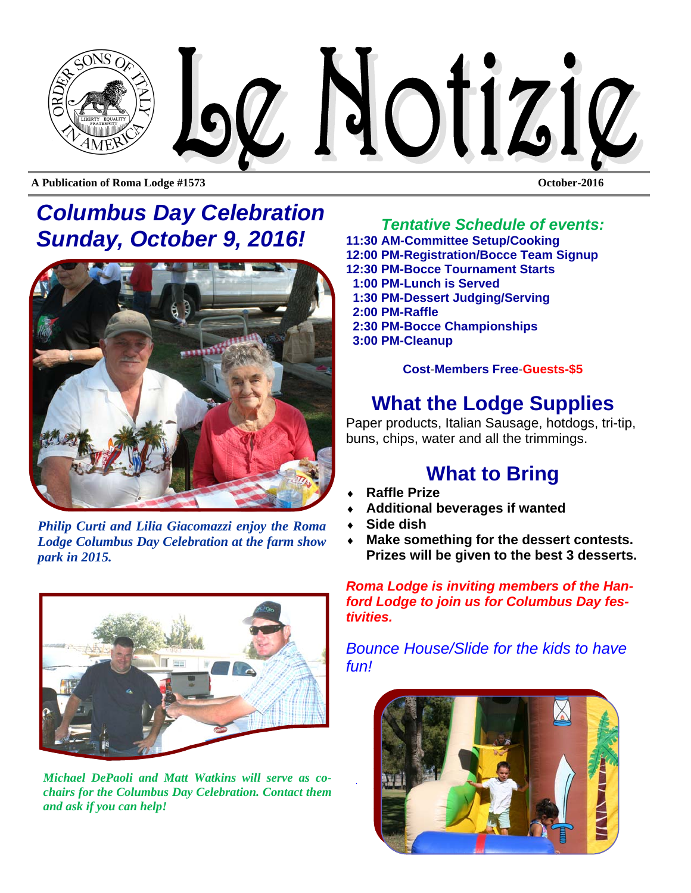

**A Publication of Roma Lodge #1573 October-2016** 

## *Columbus Day Celebration Sunday, October 9, 2016! Tentative Schedule of events:*



*Philip Curti and Lilia Giacomazzi enjoy the Roma Lodge Columbus Day Celebration at the farm show park in 2015.* 



*Michael DePaoli and Matt Watkins will serve as cochairs for the Columbus Day Celebration. Contact them and ask if you can help!* 

**11:30 AM-Committee Setup/Cooking 12:00 PM-Registration/Bocce Team Signup 12:30 PM-Bocce Tournament Starts 1:00 PM-Lunch is Served 1:30 PM-Dessert Judging/Serving 2:00 PM-Raffle 2:30 PM-Bocce Championships 3:00 PM-Cleanup** 

**Cost**-**Members Free**-**Guests-\$5**

### **What the Lodge Supplies**

Paper products, Italian Sausage, hotdogs, tri-tip, buns, chips, water and all the trimmings.

### **What to Bring**

- **Raffle Prize**
- **Additional beverages if wanted**
- **Side dish**
- **Make something for the dessert contests. Prizes will be given to the best 3 desserts.**

*Roma Lodge is inviting members of the Hanford Lodge to join us for Columbus Day festivities.* 

*Bounce House/Slide for the kids to have fun!* 

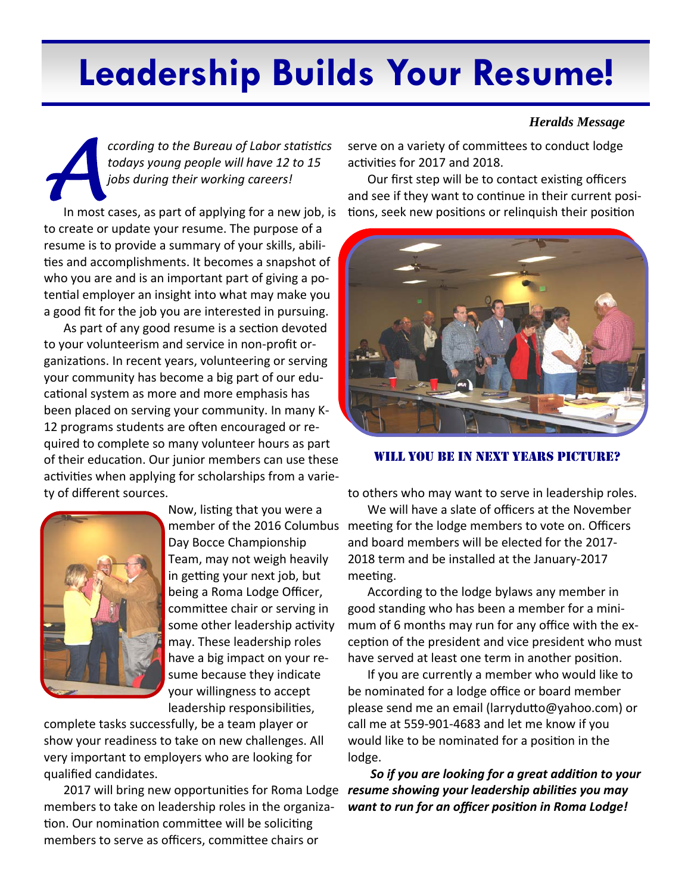# **Leadership Builds Your Resume!**

*CODER CODER CODER CODER CODER 12 to 15*<br> *A post during their working careers!*<br>
In most cases, as part of applying for a new job, is *todays young people will have 12 to 15 jobs during their working careers!* 

to create or update your resume. The purpose of a resume is to provide a summary of your skills, abili‐ ties and accomplishments. It becomes a snapshot of who you are and is an important part of giving a potential employer an insight into what may make you a good fit for the job you are interested in pursuing.

As part of any good resume is a section devoted to your volunteerism and service in non‐profit or‐ ganizations. In recent years, volunteering or serving your community has become a big part of our edu‐ cational system as more and more emphasis has been placed on serving your community. In many K‐ 12 programs students are often encouraged or required to complete so many volunteer hours as part of their education. Our junior members can use these activities when applying for scholarships from a variety of different sources.



Now, listing that you were a Day Bocce Championship Team, may not weigh heavily in getting your next job, but being a Roma Lodge Officer, committee chair or serving in some other leadership activity may. These leadership roles have a big impact on your re‐ sume because they indicate your willingness to accept leadership responsibilities,

complete tasks successfully, be a team player or show your readiness to take on new challenges. All very important to employers who are looking for qualified candidates.

2017 will bring new opportunities for Roma Lodge members to take on leadership roles in the organiza‐ tion. Our nomination committee will be soliciting members to serve as officers, committee chairs or

#### *Heralds Message*

serve on a variety of committees to conduct lodge activities for 2017 and 2018.

Our first step will be to contact existing officers and see if they want to continue in their current positions, seek new positions or relinquish their position



WILL YOU BE IN NEXT YEARS PICTURE?

to others who may want to serve in leadership roles.

member of the 2016 Columbus meeting for the lodge members to vote on. Officers We will have a slate of officers at the November and board members will be elected for the 2017‐ 2018 term and be installed at the January‐2017 meeting.

> According to the lodge bylaws any member in good standing who has been a member for a mini‐ mum of 6 months may run for any office with the ex‐ ception of the president and vice president who must have served at least one term in another position.

If you are currently a member who would like to be nominated for a lodge office or board member please send me an email (larryduƩo@yahoo.com) or call me at 559‐901‐4683 and let me know if you would like to be nominated for a position in the lodge.

*So if you are looking for a great addiƟon to your resume showing your leadership abilities you may want to run for an officer posiƟon in Roma Lodge!*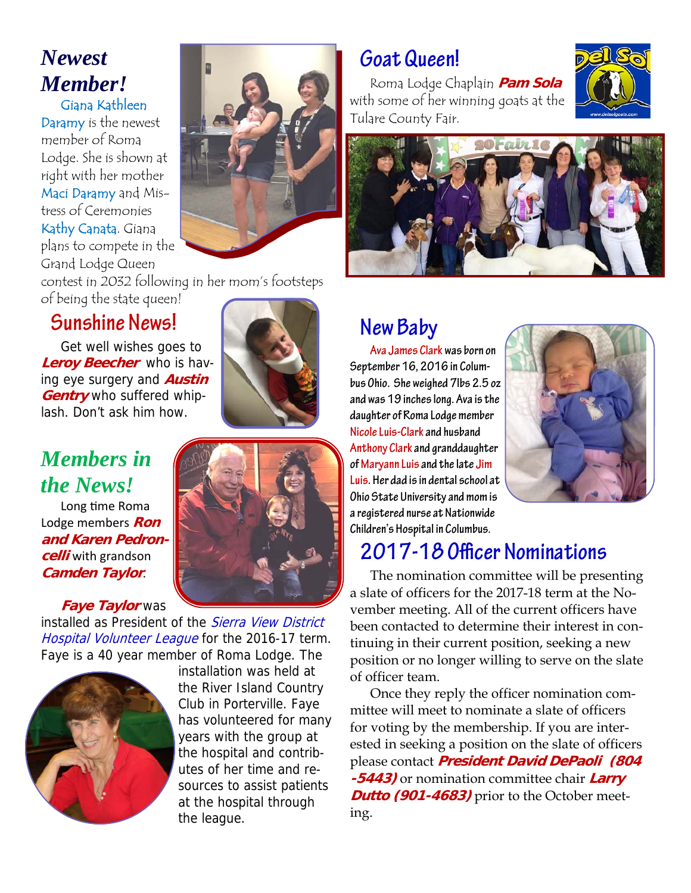# *Newest Member!*

Giana Kathleen Daramy is the newest member of Roma Lodge. She is shown at right with her mother Maci Daramy and Mistress of Ceremonies Kathy Canata. Giana plans to compete in the Grand Lodge Queen



contest in 2032 following in her mom's footsteps of being the state queen!

### **Sunshine News!**

Get well wishes goes to **Leroy Beecher** who is having eye surgery and **Austin Gentry** who suffered whiplash. Don't ask him how.

# *Members in the News!*

Long time Roma Lodge members **Ron and Karen Pedroncelli** with grandson **Camden Taylor**.

#### **Faye Taylor** was

installed as President of the Sierra View District Hospital Volunteer League for the 2016-17 term. Faye is a 40 year member of Roma Lodge. The



installation was held at the River Island Country Club in Porterville. Faye has volunteered for many years with the group at the hospital and contributes of her time and resources to assist patients at the hospital through the league.

# **Goat Queen!**

Roma Lodge Chaplain **Pam Sola**  with some of her winning goats at the Tulare County Fair.





# **New Baby**

**Ava James Clark was born on September 16, 2016 in Columbus Ohio. She weighed 7lbs 2.5 oz and was 19 inches long. Ava is the daughter of Roma Lodge member Nicole Luis-Clark and husband Anthony Clark and granddaughter of Maryann Luis and the late Jim Luis. Her dad is in dental school at Ohio State University and mom is a registered nurse at Nationwide Children's Hospital in Columbus.** 



# **2017-18 Officer Nominations**

The nomination committee will be presenting a slate of officers for the 2017-18 term at the November meeting. All of the current officers have been contacted to determine their interest in continuing in their current position, seeking a new position or no longer willing to serve on the slate of officer team.

Once they reply the officer nomination committee will meet to nominate a slate of officers for voting by the membership. If you are interested in seeking a position on the slate of officers please contact **President David DePaoli (804 -5443)** or nomination committee chair **Larry Dutto (901-4683)** prior to the October meeting.